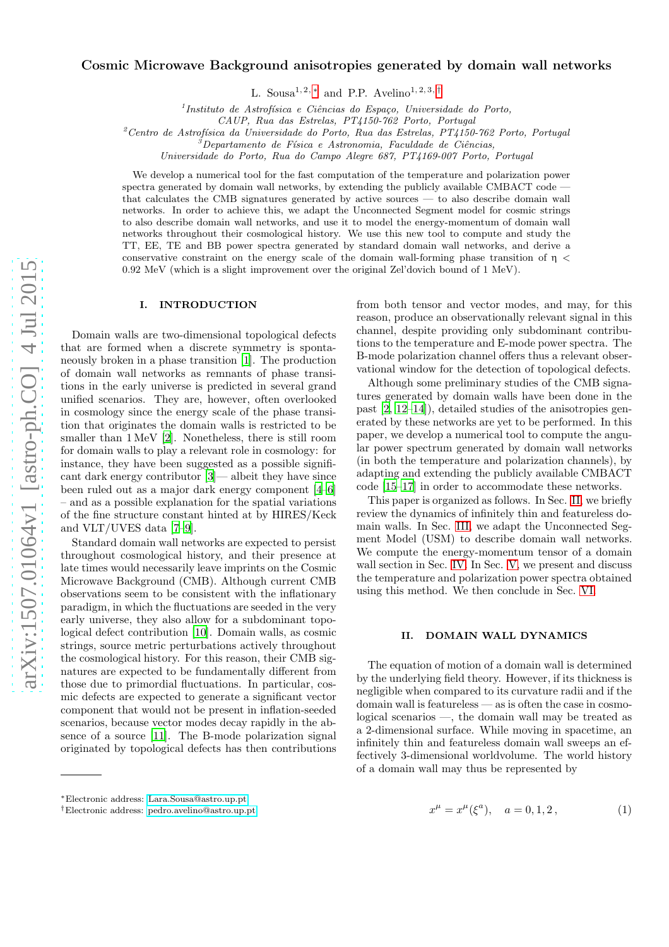# Cosmic Microwave Background anisotropies generated by domain wall networks

L. Sousa<sup>1, 2, \*</sup> and P.P. Avelino<sup>1, 2, 3, [†](#page-0-1)</sup>

<sup>1</sup>Instituto de Astrofísica e Ciências do Espaço, Universidade do Porto,

 $2$ Centro de Astrofísica da Universidade do Porto, Rua das Estrelas, PT4150-762 Porto, Portugal

Universidade do Porto, Rua do Campo Alegre 687, PT4169-007 Porto, Portugal

We develop a numerical tool for the fast computation of the temperature and polarization power spectra generated by domain wall networks, by extending the publicly available CMBACT code that calculates the CMB signatures generated by active sources — to also describe domain wall networks. In order to achieve this, we adapt the Unconnected Segment model for cosmic strings to also describe domain wall networks, and use it to model the energy-momentum of domain wall networks throughout their cosmological history. We use this new tool to compute and study the TT, EE, TE and BB power spectra generated by standard domain wall networks, and derive a conservative constraint on the energy scale of the domain wall-forming phase transition of  $\eta$  < 0.92 MeV (which is a slight improvement over the original Zel'dovich bound of 1 MeV).

#### I. INTRODUCTION

Domain walls are two-dimensional topological defects that are formed when a discrete symmetry is spontaneously broken in a phase transition [\[1\]](#page-8-0). The production of domain wall networks as remnants of phase transitions in the early universe is predicted in several grand unified scenarios. They are, however, often overlooked in cosmology since the energy scale of the phase transition that originates the domain walls is restricted to be smaller than 1 MeV [\[2\]](#page-8-1). Nonetheless, there is still room for domain walls to play a relevant role in cosmology: for instance, they have been suggested as a possible significant dark energy contributor [\[3\]](#page-8-2)— albeit they have since been ruled out as a major dark energy component [\[4](#page-8-3)[–6](#page-8-4)] – and as a possible explanation for the spatial variations of the fine structure constant hinted at by HIRES/Keck and VLT/UVES data [\[7](#page-8-5)[–9\]](#page-9-0).

Standard domain wall networks are expected to persist throughout cosmological history, and their presence at late times would necessarily leave imprints on the Cosmic Microwave Background (CMB). Although current CMB observations seem to be consistent with the inflationary paradigm, in which the fluctuations are seeded in the very early universe, they also allow for a subdominant topological defect contribution [\[10](#page-9-1)]. Domain walls, as cosmic strings, source metric perturbations actively throughout the cosmological history. For this reason, their CMB signatures are expected to be fundamentally different from those due to primordial fluctuations. In particular, cosmic defects are expected to generate a significant vector component that would not be present in inflation-seeded scenarios, because vector modes decay rapidly in the absence of a source [\[11](#page-9-2)]. The B-mode polarization signal originated by topological defects has then contributions from both tensor and vector modes, and may, for this reason, produce an observationally relevant signal in this channel, despite providing only subdominant contributions to the temperature and E-mode power spectra. The B-mode polarization channel offers thus a relevant observational window for the detection of topological defects.

Although some preliminary studies of the CMB signatures generated by domain walls have been done in the past [\[2](#page-8-1), [12](#page-9-3)[–14](#page-9-4)]), detailed studies of the anisotropies generated by these networks are yet to be performed. In this paper, we develop a numerical tool to compute the angular power spectrum generated by domain wall networks (in both the temperature and polarization channels), by adapting and extending the publicly available CMBACT code [\[15](#page-9-5)[–17\]](#page-9-6) in order to accommodate these networks.

This paper is organized as follows. In Sec. [II,](#page-0-2) we briefly review the dynamics of infinitely thin and featureless domain walls. In Sec. [III,](#page-1-0) we adapt the Unconnected Segment Model (USM) to describe domain wall networks. We compute the energy-momentum tensor of a domain wall section in Sec. [IV.](#page-3-0) In Sec. [V,](#page-4-0) we present and discuss the temperature and polarization power spectra obtained using this method. We then conclude in Sec. [VI.](#page-7-0)

## <span id="page-0-2"></span>II. DOMAIN WALL DYNAMICS

The equation of motion of a domain wall is determined by the underlying field theory. However, if its thickness is negligible when compared to its curvature radii and if the domain wall is featureless — as is often the case in cosmological scenarios —, the domain wall may be treated as a 2-dimensional surface. While moving in spacetime, an infinitely thin and featureless domain wall sweeps an effectively 3-dimensional worldvolume. The world history of a domain wall may thus be represented by

$$
x^{\mu} = x^{\mu}(\xi^{a}), \quad a = 0, 1, 2,
$$
 (1)

CAUP, Rua das Estrelas, PT4150-762 Porto, Portugal

 ${}^{\circ}$ Departamento de Física e Astronomia, Faculdade de Ciências,

<span id="page-0-0"></span><sup>∗</sup>Electronic address: [Lara.Sousa@astro.up.pt](mailto:Lara.Sousa@astro.up.pt)

<span id="page-0-1"></span><sup>†</sup>Electronic address: [pedro.avelino@astro.up.pt](mailto:pedro.avelino@astro.up.pt)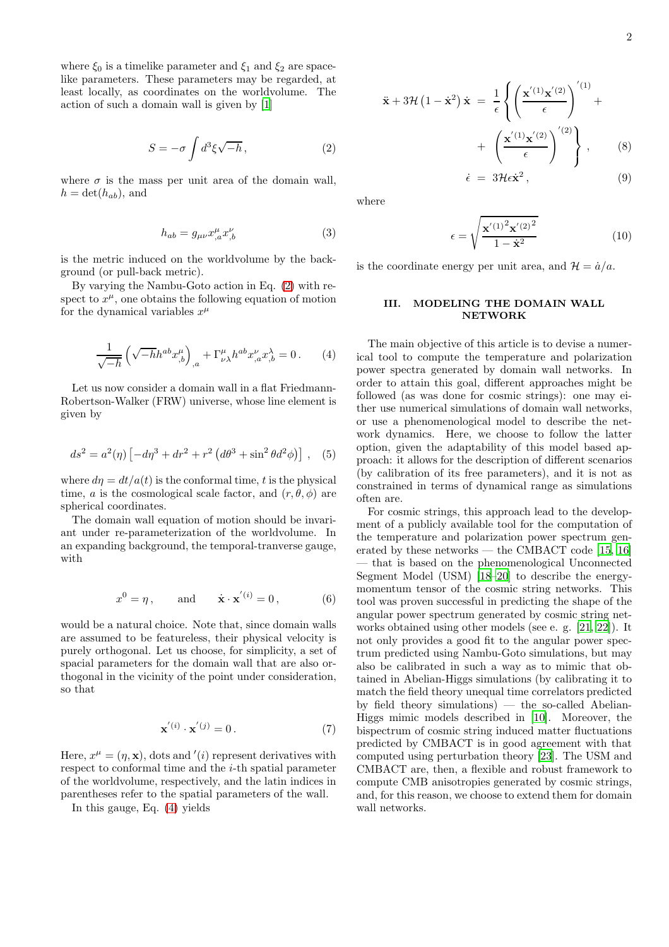where  $\xi_0$  is a timelike parameter and  $\xi_1$  and  $\xi_2$  are spacelike parameters. These parameters may be regarded, at least locally, as coordinates on the worldvolume. The action of such a domain wall is given by [\[1\]](#page-8-0)

<span id="page-1-1"></span>
$$
S = -\sigma \int d^3\xi \sqrt{-h}, \qquad (2)
$$

where  $\sigma$  is the mass per unit area of the domain wall,  $h = \det(h_{ab})$ , and

$$
h_{ab} = g_{\mu\nu} x^{\mu}_{,a} x^{\nu}_{,b} \tag{3}
$$

is the metric induced on the worldvolume by the background (or pull-back metric).

By varying the Nambu-Goto action in Eq. [\(2\)](#page-1-1) with respect to  $x^{\mu}$ , one obtains the following equation of motion for the dynamical variables  $x^{\mu}$ 

<span id="page-1-2"></span>
$$
\frac{1}{\sqrt{-h}} \left( \sqrt{-h} h^{ab} x^{\mu}_{,b} \right)_{,a} + \Gamma^{\mu}_{\nu\lambda} h^{ab} x^{\nu}_{,a} x^{\lambda}_{,b} = 0 \,. \tag{4}
$$

Let us now consider a domain wall in a flat Friedmann-Robertson-Walker (FRW) universe, whose line element is given by

$$
ds^{2} = a^{2}(\eta) \left[ -d\eta^{3} + dr^{2} + r^{2} \left( d\theta^{3} + \sin^{2} \theta d^{2} \phi \right) \right], \quad (5)
$$

where  $d\eta = dt/a(t)$  is the conformal time, t is the physical time, a is the cosmological scale factor, and  $(r, \theta, \phi)$  are spherical coordinates.

The domain wall equation of motion should be invariant under re-parameterization of the worldvolume. In an expanding background, the temporal-tranverse gauge, with

$$
x^{0} = \eta, \quad \text{and} \quad \dot{\mathbf{x}} \cdot \mathbf{x}^{'(i)} = 0, \quad (6)
$$

would be a natural choice. Note that, since domain walls are assumed to be featureless, their physical velocity is purely orthogonal. Let us choose, for simplicity, a set of spacial parameters for the domain wall that are also orthogonal in the vicinity of the point under consideration, so that

$$
\mathbf{x}^{'(i)} \cdot \mathbf{x}^{'(j)} = 0.
$$
 (7)

Here,  $x^{\mu} = (\eta, \mathbf{x})$ , dots and '(*i*) represent derivatives with respect to conformal time and the i-th spatial parameter of the worldvolume, respectively, and the latin indices in parentheses refer to the spatial parameters of the wall.

In this gauge, Eq. [\(4\)](#page-1-2) yields

$$
-2\phantom{.00}
$$

<span id="page-1-3"></span>
$$
\ddot{\mathbf{x}} + 3\mathcal{H} (1 - \dot{\mathbf{x}}^2) \dot{\mathbf{x}} = \frac{1}{\epsilon} \left\{ \left( \frac{\mathbf{x}^{(1)} \mathbf{x}^{(2)}}{\epsilon} \right)^{(1)} + \left( \frac{\mathbf{x}^{(1)} \mathbf{x}^{(2)}}{\epsilon} \right)^{(2)} \right\}, \qquad (8)
$$

$$
\dot{\epsilon} = 3\mathcal{H}\epsilon \dot{\mathbf{x}}^2, \qquad (9)
$$

where

$$
\epsilon = \sqrt{\frac{\mathbf{x}'^{(1)^2}\mathbf{x}'^{(2)^2}}{1 - \dot{\mathbf{x}}^2}}
$$
(10)

is the coordinate energy per unit area, and  $\mathcal{H} = \dot{a}/a$ .

# <span id="page-1-0"></span>III. MODELING THE DOMAIN WALL NETWORK

The main objective of this article is to devise a numerical tool to compute the temperature and polarization power spectra generated by domain wall networks. In order to attain this goal, different approaches might be followed (as was done for cosmic strings): one may either use numerical simulations of domain wall networks, or use a phenomenological model to describe the network dynamics. Here, we choose to follow the latter option, given the adaptability of this model based approach: it allows for the description of different scenarios (by calibration of its free parameters), and it is not as constrained in terms of dynamical range as simulations often are.

For cosmic strings, this approach lead to the development of a publicly available tool for the computation of the temperature and polarization power spectrum generated by these networks — the CMBACT code [\[15](#page-9-5), [16](#page-9-7)] — that is based on the phenomenological Unconnected Segment Model (USM) [\[18](#page-9-8)[–20\]](#page-9-9) to describe the energymomentum tensor of the cosmic string networks. This tool was proven successful in predicting the shape of the angular power spectrum generated by cosmic string networks obtained using other models (see e. g. [\[21](#page-9-10), [22\]](#page-9-11)). It not only provides a good fit to the angular power spectrum predicted using Nambu-Goto simulations, but may also be calibrated in such a way as to mimic that obtained in Abelian-Higgs simulations (by calibrating it to match the field theory unequal time correlators predicted by field theory simulations) — the so-called Abelian-Higgs mimic models described in [\[10\]](#page-9-1). Moreover, the bispectrum of cosmic string induced matter fluctuations predicted by CMBACT is in good agreement with that computed using perturbation theory [\[23\]](#page-9-12). The USM and CMBACT are, then, a flexible and robust framework to compute CMB anisotropies generated by cosmic strings, and, for this reason, we choose to extend them for domain wall networks.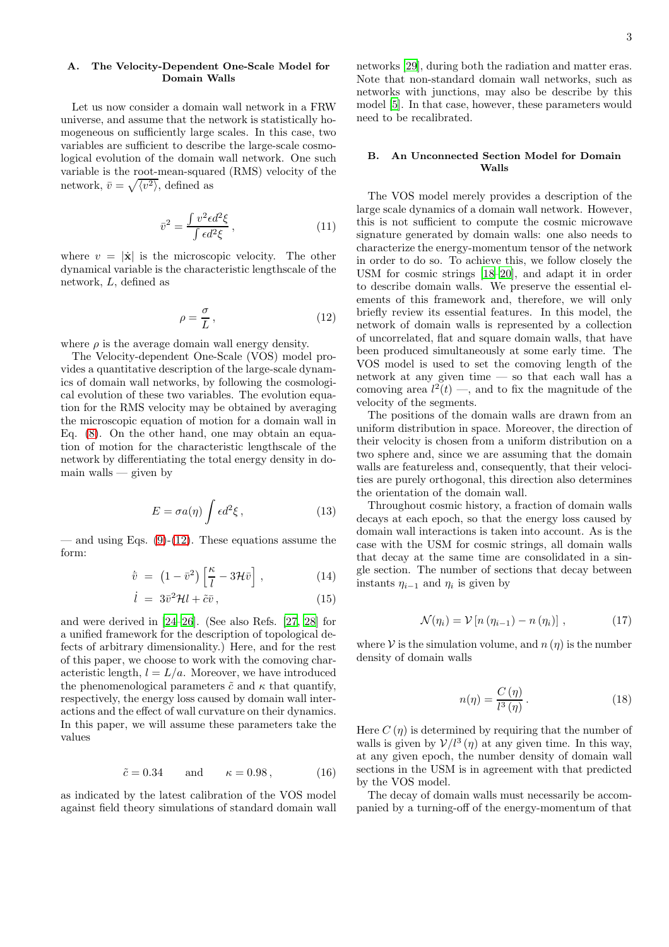## A. The Velocity-Dependent One-Scale Model for Domain Walls

Let us now consider a domain wall network in a FRW universe, and assume that the network is statistically homogeneous on sufficiently large scales. In this case, two variables are sufficient to describe the large-scale cosmological evolution of the domain wall network. One such variable is the root-mean-squared (RMS) velocity of the network,  $\bar{v} = \sqrt{\langle v^2 \rangle}$ , defined as

$$
\bar{v}^2 = \frac{\int v^2 \epsilon d^2 \xi}{\int \epsilon d^2 \xi},\qquad(11)
$$

where  $v = |\dot{\mathbf{x}}|$  is the microscopic velocity. The other dynamical variable is the characteristic lengthscale of the network, L, defined as

<span id="page-2-0"></span>
$$
\rho = \frac{\sigma}{L} \,,\tag{12}
$$

where  $\rho$  is the average domain wall energy density.

The Velocity-dependent One-Scale (VOS) model provides a quantitative description of the large-scale dynamics of domain wall networks, by following the cosmological evolution of these two variables. The evolution equation for the RMS velocity may be obtained by averaging the microscopic equation of motion for a domain wall in Eq. [\(8\)](#page-1-3). On the other hand, one may obtain an equation of motion for the characteristic lengthscale of the network by differentiating the total energy density in domain walls — given by

$$
E = \sigma a(\eta) \int \epsilon d^2 \xi \,, \tag{13}
$$

— and using Eqs.  $(9)-(12)$  $(9)-(12)$ . These equations assume the form:

$$
\dot{\bar{v}} = (1 - \bar{v}^2) \left[ \frac{\kappa}{l} - 3\mathcal{H}\bar{v} \right], \qquad (14)
$$

$$
\dot{l} = 3\bar{v}^2 \mathcal{H} l + \tilde{c}\bar{v},\qquad(15)
$$

and were derived in [\[24](#page-9-13)[–26\]](#page-9-14). (See also Refs. [\[27](#page-9-15), [28\]](#page-9-16) for a unified framework for the description of topological defects of arbitrary dimensionality.) Here, and for the rest of this paper, we choose to work with the comoving characteristic length,  $l = L/a$ . Moreover, we have introduced the phenomenological parameters  $\tilde{c}$  and  $\kappa$  that quantify, respectively, the energy loss caused by domain wall interactions and the effect of wall curvature on their dynamics. In this paper, we will assume these parameters take the values

$$
\tilde{c} = 0.34 \quad \text{and} \quad \kappa = 0.98 \,, \tag{16}
$$

as indicated by the latest calibration of the VOS model against field theory simulations of standard domain wall networks [\[29\]](#page-9-17), during both the radiation and matter eras. Note that non-standard domain wall networks, such as networks with junctions, may also be describe by this model [\[5\]](#page-8-6). In that case, however, these parameters would need to be recalibrated.

#### B. An Unconnected Section Model for Domain Walls

The VOS model merely provides a description of the large scale dynamics of a domain wall network. However, this is not sufficient to compute the cosmic microwave signature generated by domain walls: one also needs to characterize the energy-momentum tensor of the network in order to do so. To achieve this, we follow closely the USM for cosmic strings [\[18](#page-9-8)[–20\]](#page-9-9), and adapt it in order to describe domain walls. We preserve the essential elements of this framework and, therefore, we will only briefly review its essential features. In this model, the network of domain walls is represented by a collection of uncorrelated, flat and square domain walls, that have been produced simultaneously at some early time. The VOS model is used to set the comoving length of the network at any given time — so that each wall has a comoving area  $l^2(t)$  —, and to fix the magnitude of the velocity of the segments.

The positions of the domain walls are drawn from an uniform distribution in space. Moreover, the direction of their velocity is chosen from a uniform distribution on a two sphere and, since we are assuming that the domain walls are featureless and, consequently, that their velocities are purely orthogonal, this direction also determines the orientation of the domain wall.

Throughout cosmic history, a fraction of domain walls decays at each epoch, so that the energy loss caused by domain wall interactions is taken into account. As is the case with the USM for cosmic strings, all domain walls that decay at the same time are consolidated in a single section. The number of sections that decay between instants  $\eta_{i-1}$  and  $\eta_i$  is given by

$$
\mathcal{N}(\eta_i) = \mathcal{V}\left[n\left(\eta_{i-1}\right) - n\left(\eta_i\right)\right],\tag{17}
$$

where V is the simulation volume, and  $n(\eta)$  is the number density of domain walls

$$
n(\eta) = \frac{C(\eta)}{l^3(\eta)}.
$$
\n(18)

Here  $C(\eta)$  is determined by requiring that the number of walls is given by  $V/l^3(\eta)$  at any given time. In this way, at any given epoch, the number density of domain wall sections in the USM is in agreement with that predicted by the VOS model.

The decay of domain walls must necessarily be accompanied by a turning-off of the energy-momentum of that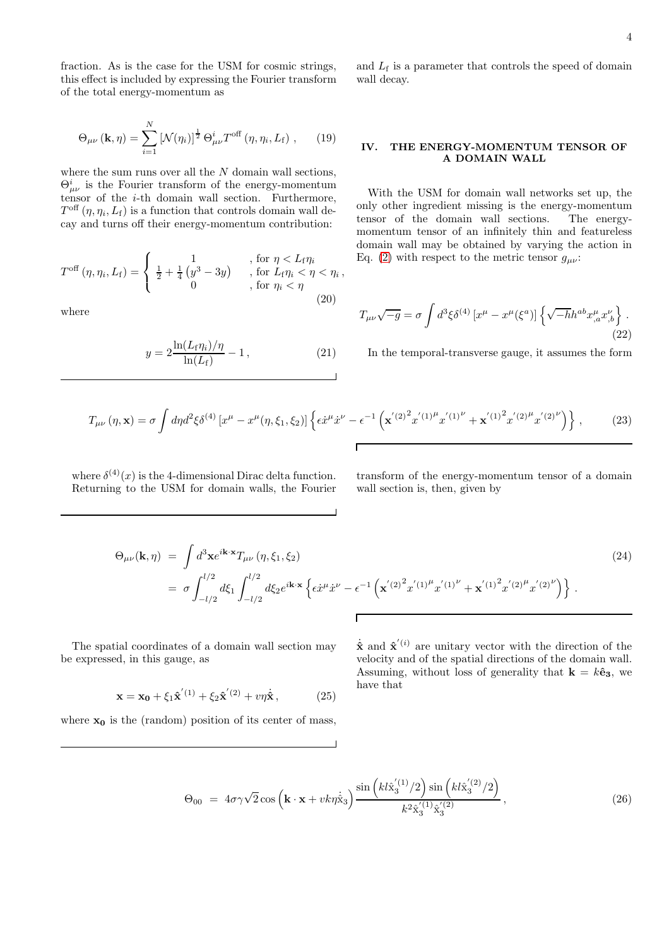fraction. As is the case for the USM for cosmic strings, this effect is included by expressing the Fourier transform of the total energy-momentum as

$$
\Theta_{\mu\nu}(\mathbf{k},\eta) = \sum_{i=1}^{N} \left[ \mathcal{N}(\eta_i) \right]^{\frac{1}{2}} \Theta_{\mu\nu}^{i} T^{\text{off}}(\eta, \eta_i, L_{\text{f}}), \qquad (19)
$$

where the sum runs over all the  $N$  domain wall sections,  $\Theta^i_{\mu\nu}$  is the Fourier transform of the energy-momentum tensor of the  $i$ -th domain wall section. Furthermore,  $T<sup>off</sup>(\eta, \eta_i, L_f)$  is a function that controls domain wall decay and turns off their energy-momentum contribution:

$$
T^{\text{off}}(\eta, \eta_i, L_f) = \begin{cases} 1 & , \text{ for } \eta < L_f \eta_i \\ \frac{1}{2} + \frac{1}{4} \left( y^3 - 3y \right) & , \text{ for } L_f \eta_i < \eta < \eta_i , \\ 0 & , \text{ for } \eta_i < \eta \end{cases}
$$
 (20)

where

$$
y = 2 \frac{\ln(L_f \eta_i)/\eta}{\ln(L_f)} - 1, \qquad (21)
$$

and  $L_f$  is a parameter that controls the speed of domain wall decay.

## <span id="page-3-0"></span>IV. THE ENERGY-MOMENTUM TENSOR OF A DOMAIN WALL

With the USM for domain wall networks set up, the only other ingredient missing is the energy-momentum tensor of the domain wall sections. The energymomentum tensor of an infinitely thin and featureless domain wall may be obtained by varying the action in Eq. [\(2\)](#page-1-1) with respect to the metric tensor  $g_{\mu\nu}$ :

$$
T_{\mu\nu}\sqrt{-g} = \sigma \int d^3\xi \delta^{(4)} \left[x^\mu - x^\mu(\xi^a)\right] \left\{\sqrt{-h}h^{ab}x^{\mu}_{,a}x^{\nu}_{,b}\right\}.
$$
\n(22)

In the temporal-transverse gauge, it assumes the form

$$
T_{\mu\nu}(\eta, \mathbf{x}) = \sigma \int d\eta d^2 \xi \delta^{(4)} \left[ x^{\mu} - x^{\mu}(\eta, \xi_1, \xi_2) \right] \left\{ \epsilon \dot{x}^{\mu} \dot{x}^{\nu} - \epsilon^{-1} \left( \mathbf{x}'^{(2)^2} x'^{(1)^{\mu}} x'^{(1)^{\nu}} + \mathbf{x}'^{(1)^2} x'^{(2)^{\mu}} x'^{(2)^{\nu}} \right) \right\},\tag{23}
$$

where  $\delta^{(4)}(x)$  is the 4-dimensional Dirac delta function. Returning to the USM for domain walls, the Fourier transform of the energy-momentum tensor of a domain wall section is, then, given by

$$
\Theta_{\mu\nu}(\mathbf{k},\eta) = \int d^3 \mathbf{x} e^{i\mathbf{k}\cdot\mathbf{x}} T_{\mu\nu}(\eta,\xi_1,\xi_2)
$$
\n
$$
= \sigma \int_{-l/2}^{l/2} d\xi_1 \int_{-l/2}^{l/2} d\xi_2 e^{i\mathbf{k}\cdot\mathbf{x}} \left\{ \epsilon \dot{x}^{\mu} \dot{x}^{\nu} - \epsilon^{-1} \left( \mathbf{x}'^{(2)} \dot{x}^{\prime (1)}^{\mu} \dot{x}'^{(1)}^{\nu} + \mathbf{x}'^{(1)} \dot{x}^{\prime (2)}^{\mu} \dot{x}'^{(2)}^{\nu} \right) \right\}.
$$
\n(24)

The spatial coordinates of a domain wall section may be expressed, in this gauge, as

$$
\mathbf{x} = \mathbf{x_0} + \xi_1 \hat{\mathbf{x}}^{'(1)} + \xi_2 \hat{\mathbf{x}}^{'(2)} + v\eta \dot{\hat{\mathbf{x}}},
$$
 (25)

where  $x_0$  is the (random) position of its center of mass,

 $\dot{\hat{\mathbf{x}}}$  and  $\hat{\mathbf{x}}'$ <sup>(i)</sup> are unitary vector with the direction of the velocity and of the spatial directions of the domain wall. Assuming, without loss of generality that  $\mathbf{k} = k\hat{\mathbf{e}}_3$ , we have that

$$
\Theta_{00} = 4\sigma\gamma\sqrt{2}\cos\left(k\cdot\mathbf{x} + vk\eta\dot{\hat{\mathbf{x}}}_3\right) \frac{\sin\left(kl\hat{\mathbf{x}}_3^{'(1)}/2\right)\sin\left(kl\hat{\mathbf{x}}_3^{'(2)}/2\right)}{k^2\hat{\mathbf{x}}_3^{'(1)}\hat{\mathbf{x}}_3^{'(2)}},\tag{26}
$$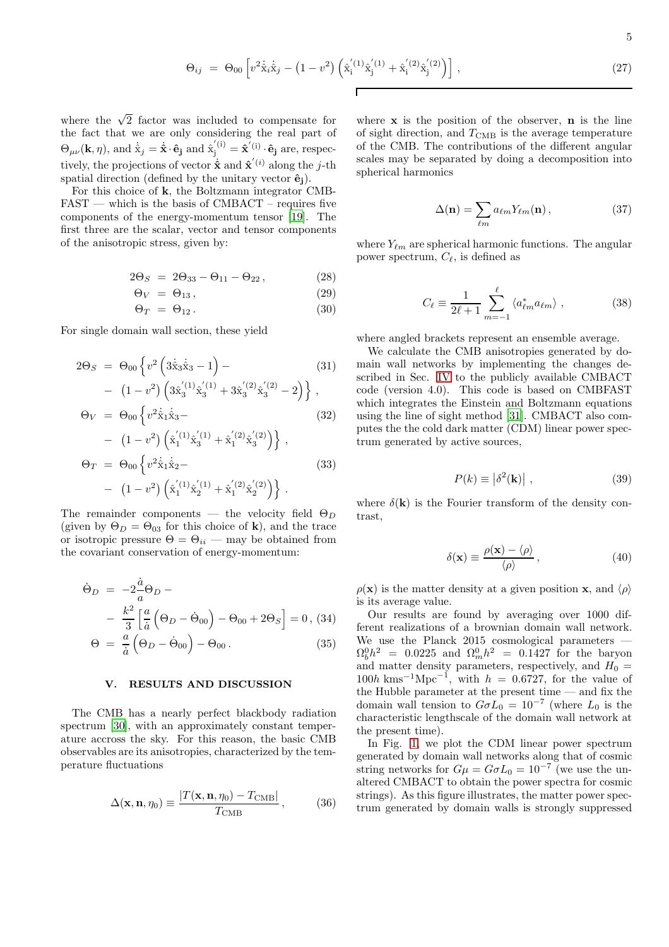$$
\Theta_{ij} = \Theta_{00} \left[ v^2 \dot{\hat{\mathbf{x}}}_i \dot{\hat{\mathbf{x}}}_j - (1 - v^2) \left( \hat{\mathbf{x}}_i^{'(1)} \hat{\mathbf{x}}_j^{'(1)} + \hat{\mathbf{x}}_i^{'(2)} \hat{\mathbf{x}}_j^{'(2)} \right) \right], \tag{27}
$$

where the  $\sqrt{2}$  factor was included to compensate for the fact that we are only considering the real part of  $\Theta_{\mu\nu}(\mathbf{k}, \eta)$ , and  $\dot{\hat{\mathbf{x}}}_j = \dot{\hat{\mathbf{x}}} \cdot \hat{\mathbf{e}}_j$  and  $\hat{\mathbf{x}}_j^{(i)} = \dot{\hat{\mathbf{x}}}^{(i)} \cdot \hat{\mathbf{e}}_j$  are, respectively, the projections of vector  $\dot{\hat{\mathbf{x}}}$  and  $\hat{\mathbf{x}}'$ <sup>(*i*)</sup> along the *j*-th spatial direction (defined by the unitary vector  $\hat{\mathbf{e}}_i$ ).

For this choice of k, the Boltzmann integrator CMB- $FAST$  — which is the basis of CMBACT – requires five components of the energy-momentum tensor [\[19](#page-9-18)]. The first three are the scalar, vector and tensor components of the anisotropic stress, given by:

$$
2\Theta_S = 2\Theta_{33} - \Theta_{11} - \Theta_{22}, \qquad (28)
$$

$$
\Theta_V = \Theta_{13},\tag{29}
$$

$$
\Theta_T = \Theta_{12} \,. \tag{30}
$$

For single domain wall section, these yield

$$
2\Theta_S = \Theta_{00} \left\{ v^2 \left( 3\dot{\hat{x}}_3 \dot{\hat{x}}_3 - 1 \right) - \left( 31 \right) - \left( 1 - v^2 \right) \left( 3\dot{x}_3^{'(1)} \dot{\hat{x}}_3^{(1)} + 3\dot{x}_3^{'(2)} \dot{x}_3^{'(2)} - 2 \right) \right\},
$$
\n(31)

$$
- (1 - v^{2}) \left( 3\hat{x}_{3}^{(1)} \hat{x}_{3}^{(1)} + 3\hat{x}_{3}^{(2)} \hat{x}_{3}^{(2)} - 2 \right) \},
$$
  
\n
$$
\Theta_{V} = \Theta_{00} \left\{ v^{2} \dot{\hat{x}}_{1} \dot{\hat{x}}_{3} - (32)
$$
  
\n
$$
- (1 - v^{2}) \left( \dot{x}_{1}^{(1)} \dot{x}_{3}^{(1)} + \dot{x}_{1}^{(2)} \dot{x}_{3}^{(2)} \right) \right\},
$$
  
\n
$$
\Theta_{T} = \Theta_{00} \left\{ v^{2} \dot{\hat{x}}_{1} \dot{\hat{x}}_{2} - (33)
$$
  
\n
$$
- (1 - v^{2}) \left( \dot{x}_{1}^{(1)} \dot{x}_{2}^{(1)} + \dot{x}_{1}^{(2)} \dot{x}_{2}^{(2)} \right) \right\}.
$$

The remainder components — the velocity field  $\Theta_D$ (given by  $\Theta_D = \Theta_{03}$  for this choice of **k**), and the trace or isotropic pressure  $\Theta = \Theta_{ii}$  — may be obtained from the covariant conservation of energy-momentum:

$$
\dot{\Theta}_D = -2\frac{\dot{a}}{a}\Theta_D - \frac{k^2}{3}\left[\frac{a}{\dot{a}}\left(\Theta_D - \dot{\Theta}_{00}\right) - \Theta_{00} + 2\Theta_S\right] = 0, (34)
$$

$$
\Theta = \frac{a}{\dot{a}}\left(\Theta_D - \dot{\Theta}_{00}\right) - \Theta_{00}. \tag{35}
$$

#### <span id="page-4-0"></span>V. RESULTS AND DISCUSSION

The CMB has a nearly perfect blackbody radiation spectrum [\[30\]](#page-9-19), with an approximately constant temperature accross the sky. For this reason, the basic CMB observables are its anisotropies, characterized by the temperature fluctuations

$$
\Delta(\mathbf{x}, \mathbf{n}, \eta_0) \equiv \frac{|T(\mathbf{x}, \mathbf{n}, \eta_0) - T_{\text{CMB}}|}{T_{\text{CMB}}},
$$
 (36)

where  $x$  is the position of the observer,  $n$  is the line of sight direction, and  $T_{\text{CMB}}$  is the average temperature of the CMB. The contributions of the different angular scales may be separated by doing a decomposition into spherical harmonics

$$
\Delta(\mathbf{n}) = \sum_{\ell m} a_{\ell m} Y_{\ell m}(\mathbf{n}), \qquad (37)
$$

where  $Y_{\ell m}$  are spherical harmonic functions. The angular power spectrum,  $C_{\ell}$ , is defined as

$$
C_{\ell} \equiv \frac{1}{2\ell+1} \sum_{m=-1}^{\ell} \langle a_{\ell m}^* a_{\ell m} \rangle , \qquad (38)
$$

where angled brackets represent an ensemble average.

We calculate the CMB anisotropies generated by domain wall networks by implementing the changes described in Sec. [IV](#page-3-0) to the publicly available CMBACT code (version 4.0). This code is based on CMBFAST which integrates the Einstein and Boltzmann equations using the line of sight method [\[31](#page-9-20)]. CMBACT also computes the the cold dark matter (CDM) linear power spectrum generated by active sources,

$$
P(k) \equiv \left| \delta^2(\mathbf{k}) \right| , \tag{39}
$$

where  $\delta(\mathbf{k})$  is the Fourier transform of the density contrast,

$$
\delta(\mathbf{x}) \equiv \frac{\rho(\mathbf{x}) - \langle \rho \rangle}{\langle \rho \rangle},\tag{40}
$$

 $\rho(\mathbf{x})$  is the matter density at a given position **x**, and  $\langle \rho \rangle$ is its average value.

Our results are found by averaging over 1000 different realizations of a brownian domain wall network. We use the Planck 2015 cosmological parameters —  $\Omega_b^0 h^2 = 0.0225$  and  $\Omega_m^0 h^2 = 0.1427$  for the baryon and matter density parameters, respectively, and  $H_0 =$  $100h \text{ km s}^{-1} \text{Mpc}^{-1}$ , with  $h = 0.6727$ , for the value of the Hubble parameter at the present time — and fix the domain wall tension to  $G \sigma L_0 = 10^{-7}$  (where  $L_0$  is the characteristic lengthscale of the domain wall network at the present time).

In Fig. [1,](#page-5-0) we plot the CDM linear power spectrum generated by domain wall networks along that of cosmic string networks for  $G\mu = G\sigma L_0 = 10^{-7}$  (we use the unaltered CMBACT to obtain the power spectra for cosmic strings). As this figure illustrates, the matter power spectrum generated by domain walls is strongly suppressed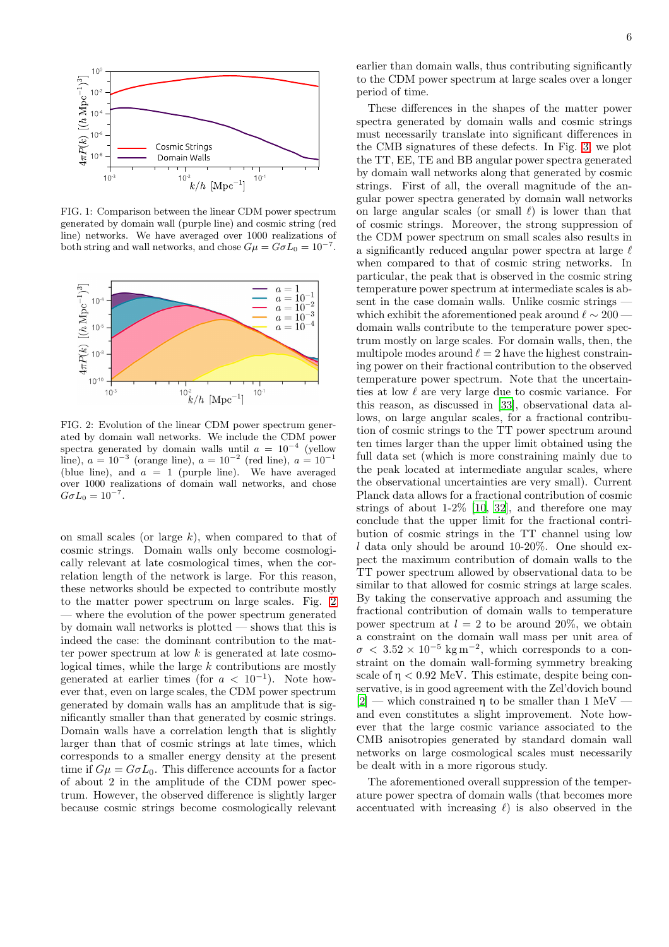

<span id="page-5-0"></span>FIG. 1: Comparison between the linear CDM power spectrum generated by domain wall (purple line) and cosmic string (red line) networks. We have averaged over 1000 realizations of both string and wall networks, and chose  $G\mu = G\sigma L_0 = 10^{-7}$ .



<span id="page-5-1"></span>FIG. 2: Evolution of the linear CDM power spectrum generated by domain wall networks. We include the CDM power spectra generated by domain walls until  $a = 10^{-4}$  (yellow line),  $a = 10^{-3}$  (orange line),  $a = 10^{-2}$  (red line),  $a = 10^{-1}$ (blue line), and  $a = 1$  (purple line). We have averaged over 1000 realizations of domain wall networks, and chose  $G\sigma L_0 = 10^{-7}$ .

on small scales (or large  $k$ ), when compared to that of cosmic strings. Domain walls only become cosmologically relevant at late cosmological times, when the correlation length of the network is large. For this reason, these networks should be expected to contribute mostly to the matter power spectrum on large scales. Fig. [2](#page-5-1) where the evolution of the power spectrum generated by domain wall networks is plotted — shows that this is indeed the case: the dominant contribution to the matter power spectrum at low  $k$  is generated at late cosmological times, while the large k contributions are mostly generated at earlier times (for  $a < 10^{-1}$ ). Note however that, even on large scales, the CDM power spectrum generated by domain walls has an amplitude that is significantly smaller than that generated by cosmic strings. Domain walls have a correlation length that is slightly larger than that of cosmic strings at late times, which corresponds to a smaller energy density at the present time if  $G\mu = G\sigma L_0$ . This difference accounts for a factor of about 2 in the amplitude of the CDM power spectrum. However, the observed difference is slightly larger because cosmic strings become cosmologically relevant

6

These differences in the shapes of the matter power spectra generated by domain walls and cosmic strings must necessarily translate into significant differences in the CMB signatures of these defects. In Fig. [3,](#page-6-0) we plot the TT, EE, TE and BB angular power spectra generated by domain wall networks along that generated by cosmic strings. First of all, the overall magnitude of the angular power spectra generated by domain wall networks on large angular scales (or small  $\ell$ ) is lower than that of cosmic strings. Moreover, the strong suppression of the CDM power spectrum on small scales also results in a significantly reduced angular power spectra at large  $\ell$ when compared to that of cosmic string networks. In particular, the peak that is observed in the cosmic string temperature power spectrum at intermediate scales is absent in the case domain walls. Unlike cosmic strings which exhibit the aforementioned peak around  $\ell \sim 200$  domain walls contribute to the temperature power spectrum mostly on large scales. For domain walls, then, the multipole modes around  $\ell = 2$  have the highest constraining power on their fractional contribution to the observed temperature power spectrum. Note that the uncertainties at low  $\ell$  are very large due to cosmic variance. For this reason, as discussed in [\[33\]](#page-9-21), observational data allows, on large angular scales, for a fractional contribution of cosmic strings to the TT power spectrum around ten times larger than the upper limit obtained using the full data set (which is more constraining mainly due to the peak located at intermediate angular scales, where the observational uncertainties are very small). Current Planck data allows for a fractional contribution of cosmic strings of about  $1-2\%$  [\[10](#page-9-1), [32\]](#page-9-22), and therefore one may conclude that the upper limit for the fractional contribution of cosmic strings in the TT channel using low  $l$  data only should be around 10-20%. One should expect the maximum contribution of domain walls to the TT power spectrum allowed by observational data to be similar to that allowed for cosmic strings at large scales. By taking the conservative approach and assuming the fractional contribution of domain walls to temperature power spectrum at  $l = 2$  to be around 20%, we obtain a constraint on the domain wall mass per unit area of  $\sigma$  < 3.52 × 10<sup>-5</sup> kg m<sup>-2</sup>, which corresponds to a constraint on the domain wall-forming symmetry breaking scale of  $n < 0.92$  MeV. This estimate, despite being conservative, is in good agreement with the Zel'dovich bound  $[2]$  — which constrained η to be smaller than 1 MeV and even constitutes a slight improvement. Note however that the large cosmic variance associated to the CMB anisotropies generated by standard domain wall networks on large cosmological scales must necessarily be dealt with in a more rigorous study.

The aforementioned overall suppression of the temperature power spectra of domain walls (that becomes more accentuated with increasing  $\ell$ ) is also observed in the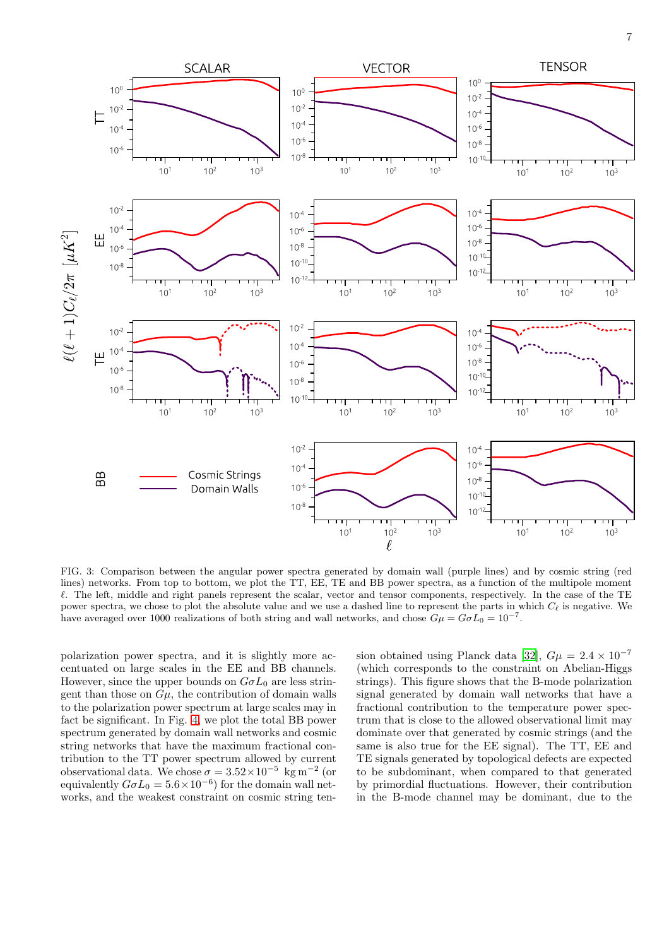

<span id="page-6-0"></span>FIG. 3: Comparison between the angular power spectra generated by domain wall (purple lines) and by cosmic string (red lines) networks. From top to bottom, we plot the TT, EE, TE and BB power spectra, as a function of the multipole moment  $\ell$ . The left, middle and right panels represent the scalar, vector and tensor components, respectively. In the case of the TE power spectra, we chose to plot the absolute value and we use a dashed line to represent the parts in which  $C_{\ell}$  is negative. We have averaged over 1000 realizations of both string and wall networks, and chose  $G\mu = G\sigma L_0 = 10^{-7}$ .

polarization power spectra, and it is slightly more accentuated on large scales in the EE and BB channels. However, since the upper bounds on  $G \sigma L_0$  are less stringent than those on  $G\mu$ , the contribution of domain walls to the polarization power spectrum at large scales may in fact be significant. In Fig. [4,](#page-7-1) we plot the total BB power spectrum generated by domain wall networks and cosmic string networks that have the maximum fractional contribution to the TT power spectrum allowed by current observational data. We chose  $\sigma = 3.52 \times 10^{-5}$  kg m<sup>-2</sup> (or equivalently  $G\sigma L_0 = 5.6 \times 10^{-6}$  for the domain wall networks, and the weakest constraint on cosmic string tension obtained using Planck data [\[32](#page-9-22)],  $G\mu = 2.4 \times 10^{-7}$ (which corresponds to the constraint on Abelian-Higgs strings). This figure shows that the B-mode polarization signal generated by domain wall networks that have a fractional contribution to the temperature power spectrum that is close to the allowed observational limit may dominate over that generated by cosmic strings (and the same is also true for the EE signal). The TT, EE and TE signals generated by topological defects are expected to be subdominant, when compared to that generated by primordial fluctuations. However, their contribution in the B-mode channel may be dominant, due to the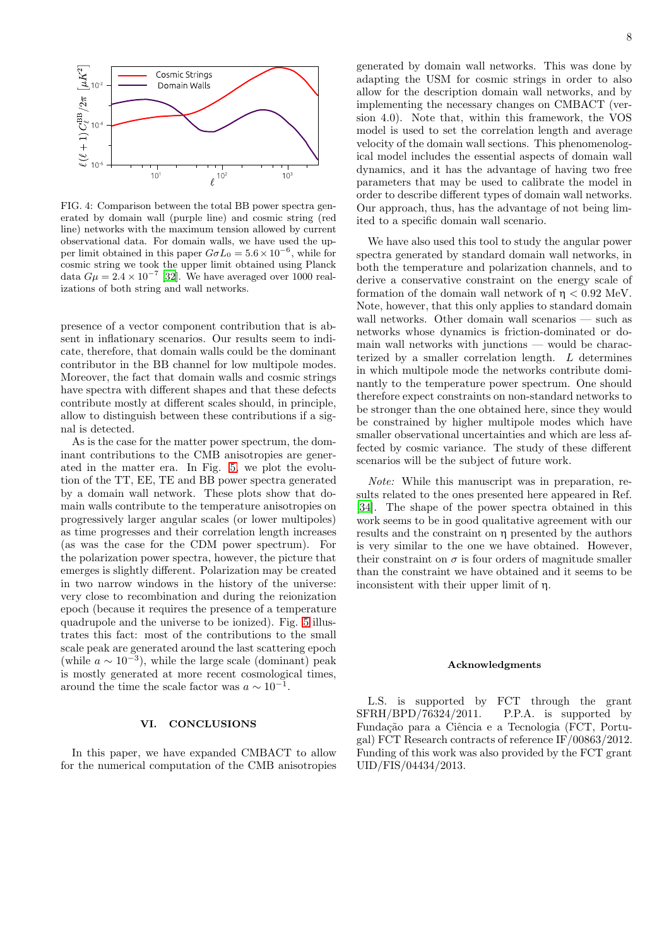

<span id="page-7-1"></span>FIG. 4: Comparison between the total BB power spectra generated by domain wall (purple line) and cosmic string (red line) networks with the maximum tension allowed by current observational data. For domain walls, we have used the upper limit obtained in this paper  $G\sigma L_0 = 5.6 \times 10^{-6}$ , while for cosmic string we took the upper limit obtained using Planck data  $G\mu = 2.4 \times 10^{-7}$  [\[32](#page-9-22)]. We have averaged over 1000 realizations of both string and wall networks.

presence of a vector component contribution that is absent in inflationary scenarios. Our results seem to indicate, therefore, that domain walls could be the dominant contributor in the BB channel for low multipole modes. Moreover, the fact that domain walls and cosmic strings have spectra with different shapes and that these defects contribute mostly at different scales should, in principle, allow to distinguish between these contributions if a signal is detected.

As is the case for the matter power spectrum, the dominant contributions to the CMB anisotropies are generated in the matter era. In Fig. [5,](#page-8-7) we plot the evolution of the TT, EE, TE and BB power spectra generated by a domain wall network. These plots show that domain walls contribute to the temperature anisotropies on progressively larger angular scales (or lower multipoles) as time progresses and their correlation length increases (as was the case for the CDM power spectrum). For the polarization power spectra, however, the picture that emerges is slightly different. Polarization may be created in two narrow windows in the history of the universe: very close to recombination and during the reionization epoch (because it requires the presence of a temperature quadrupole and the universe to be ionized). Fig. [5](#page-8-7) illustrates this fact: most of the contributions to the small scale peak are generated around the last scattering epoch (while  $a \sim 10^{-3}$ ), while the large scale (dominant) peak is mostly generated at more recent cosmological times, around the time the scale factor was  $a \sim 10^{-1}$ .

#### <span id="page-7-0"></span>VI. CONCLUSIONS

In this paper, we have expanded CMBACT to allow for the numerical computation of the CMB anisotropies generated by domain wall networks. This was done by adapting the USM for cosmic strings in order to also allow for the description domain wall networks, and by implementing the necessary changes on CMBACT (version 4.0). Note that, within this framework, the VOS model is used to set the correlation length and average velocity of the domain wall sections. This phenomenological model includes the essential aspects of domain wall dynamics, and it has the advantage of having two free parameters that may be used to calibrate the model in order to describe different types of domain wall networks. Our approach, thus, has the advantage of not being limited to a specific domain wall scenario.

We have also used this tool to study the angular power spectra generated by standard domain wall networks, in both the temperature and polarization channels, and to derive a conservative constraint on the energy scale of formation of the domain wall network of  $\eta < 0.92$  MeV. Note, however, that this only applies to standard domain wall networks. Other domain wall scenarios — such as networks whose dynamics is friction-dominated or domain wall networks with junctions — would be characterized by a smaller correlation length. L determines in which multipole mode the networks contribute dominantly to the temperature power spectrum. One should therefore expect constraints on non-standard networks to be stronger than the one obtained here, since they would be constrained by higher multipole modes which have smaller observational uncertainties and which are less affected by cosmic variance. The study of these different scenarios will be the subject of future work.

Note: While this manuscript was in preparation, results related to the ones presented here appeared in Ref. [\[34\]](#page-9-23). The shape of the power spectra obtained in this work seems to be in good qualitative agreement with our results and the constraint on η presented by the authors is very similar to the one we have obtained. However, their constraint on  $\sigma$  is four orders of magnitude smaller than the constraint we have obtained and it seems to be inconsistent with their upper limit of η.

#### Acknowledgments

L.S. is supported by FCT through the grant SFRH/BPD/76324/2011. P.P.A. is supported by Fundação para a Ciência e a Tecnologia (FCT, Portugal) FCT Research contracts of reference IF/00863/2012. Funding of this work was also provided by the FCT grant UID/FIS/04434/2013.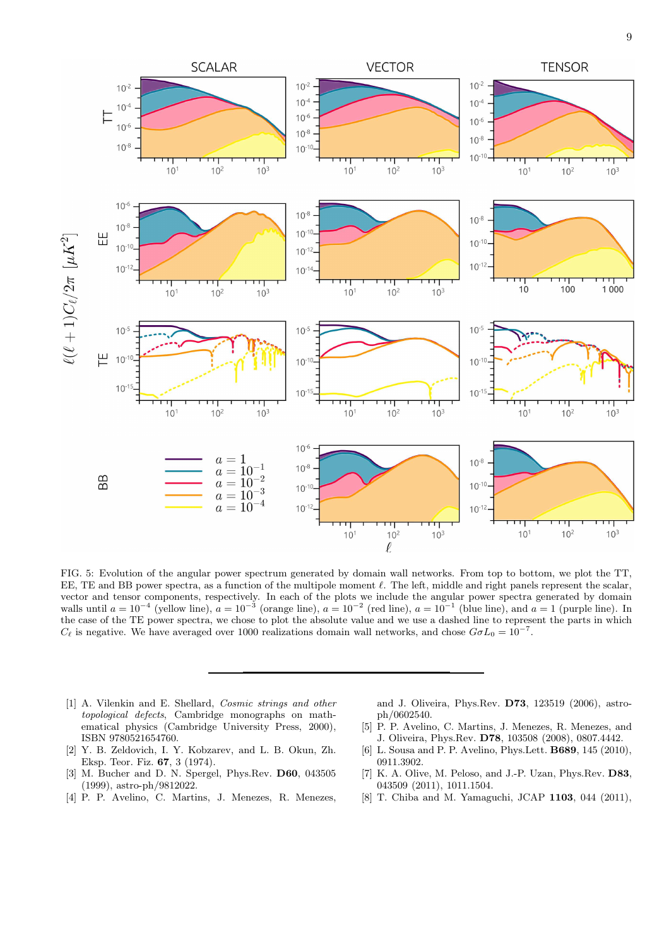

<span id="page-8-7"></span>FIG. 5: Evolution of the angular power spectrum generated by domain wall networks. From top to bottom, we plot the TT, EE, TE and BB power spectra, as a function of the multipole moment  $\ell$ . The left, middle and right panels represent the scalar, vector and tensor components, respectively. In each of the plots we include the angular power spectra generated by domain walls until  $a = 10^{-4}$  (yellow line),  $a = 10^{-3}$  (orange line),  $a = 10^{-2}$  (red line),  $a = 10^{-1}$  (blue line), and  $a = 1$  (purple line). In the case of the TE power spectra, we chose to plot the absolute value and we use a dashed line to represent the parts in which  $C_{\ell}$  is negative. We have averaged over 1000 realizations domain wall networks, and chose  $G\sigma L_0 = 10^{-7}$ .

- <span id="page-8-0"></span>[1] A. Vilenkin and E. Shellard, Cosmic strings and other topological defects, Cambridge monographs on mathematical physics (Cambridge University Press, 2000), ISBN 9780521654760.
- <span id="page-8-1"></span>[2] Y. B. Zeldovich, I. Y. Kobzarev, and L. B. Okun, Zh. Eksp. Teor. Fiz. 67, 3 (1974).
- <span id="page-8-2"></span>[3] M. Bucher and D. N. Spergel, Phys.Rev. D60, 043505 (1999), astro-ph/9812022.
- <span id="page-8-3"></span>[4] P. P. Avelino, C. Martins, J. Menezes, R. Menezes,

and J. Oliveira, Phys.Rev. D73, 123519 (2006), astroph/0602540.

- <span id="page-8-6"></span>[5] P. P. Avelino, C. Martins, J. Menezes, R. Menezes, and J. Oliveira, Phys.Rev. D78, 103508 (2008), 0807.4442.
- <span id="page-8-4"></span>[6] L. Sousa and P. P. Avelino, Phys.Lett. B689, 145 (2010), 0911.3902.
- <span id="page-8-5"></span>[7] K. A. Olive, M. Peloso, and J.-P. Uzan, Phys.Rev. D83, 043509 (2011), 1011.1504.
- [8] T. Chiba and M. Yamaguchi, JCAP 1103, 044 (2011),